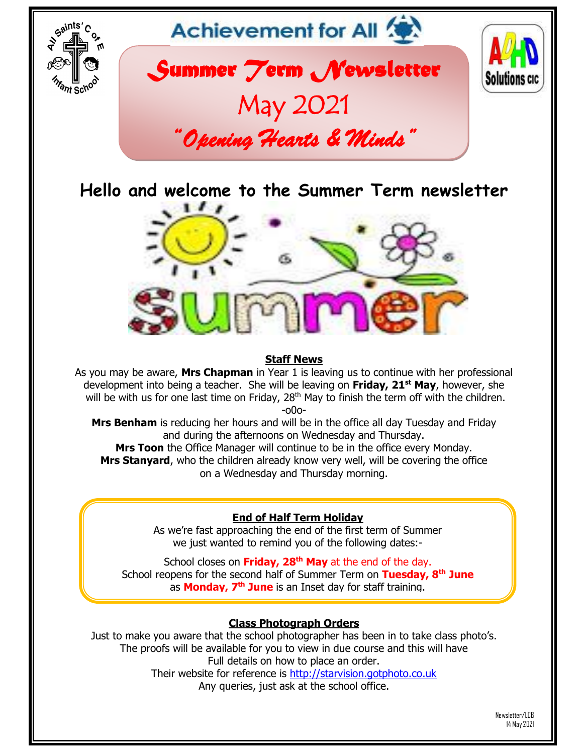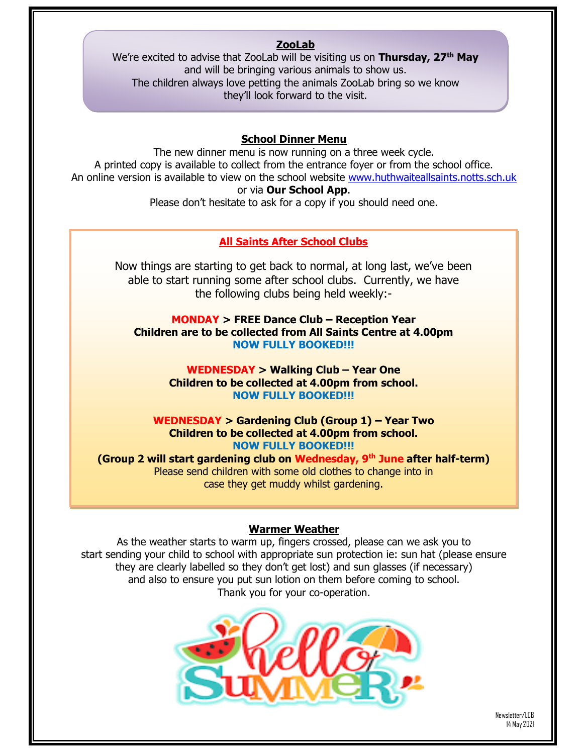### **ZooLab**

We're excited to advise that ZooLab will be visiting us on **Thursday, 27th May** and will be bringing various animals to show us. The children always love petting the animals ZooLab bring so we know they'll look forward to the visit.

#### **School Dinner Menu**

The new dinner menu is now running on a three week cycle. A printed copy is available to collect from the entrance foyer or from the school office. An online version is available to view on the school website [www.huthwaiteallsaints.notts.sch.uk](http://www.huthwaiteallsaints.notts.sch.uk/) or via **Our School App**.

Please don't hesitate to ask for a copy if you should need one.

#### **All Saints After School Clubs**

Now things are starting to get back to normal, at long last, we've been able to start running some after school clubs. Currently, we have the following clubs being held weekly:-

**MONDAY > FREE Dance Club – Reception Year Children are to be collected from All Saints Centre at 4.00pm NOW FULLY BOOKED!!!**

> **WEDNESDAY > Walking Club – Year One Children to be collected at 4.00pm from school. NOW FULLY BOOKED!!!**

**WEDNESDAY > Gardening Club (Group 1) – Year Two Children to be collected at 4.00pm from school. NOW FULLY BOOKED!!!**

**(Group 2 will start gardening club on Wednesday, 9th June after half-term)** Please send children with some old clothes to change into in case they get muddy whilst gardening.

#### **Warmer Weather**

As the weather starts to warm up, fingers crossed, please can we ask you to start sending your child to school with appropriate sun protection ie: sun hat (please ensure they are clearly labelled so they don't get lost) and sun glasses (if necessary) and also to ensure you put sun lotion on them before coming to school. Thank you for your co-operation.



Newsletter/LCB 14 May 2021